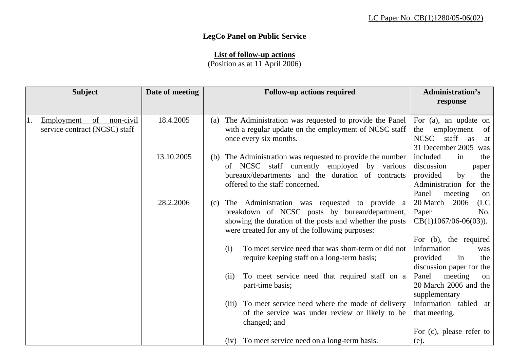## **LegCo Panel on Public Service**

## **List of follow-up actions**

(Position as at 11 April 2006)

| <b>Subject</b>                                                        | Date of meeting | <b>Follow-up actions required</b>                                                                                                                                                                                   | <b>Administration's</b>                                                                                                      |
|-----------------------------------------------------------------------|-----------------|---------------------------------------------------------------------------------------------------------------------------------------------------------------------------------------------------------------------|------------------------------------------------------------------------------------------------------------------------------|
|                                                                       |                 |                                                                                                                                                                                                                     | response                                                                                                                     |
| of<br>non-civil<br>Employment<br>11.<br>service contract (NCSC) staff | 18.4.2005       | The Administration was requested to provide the Panel<br>(a)<br>with a regular update on the employment of NCSC staff<br>once every six months.                                                                     | For (a), an update on<br>employment<br>of<br>the<br><b>NCSC</b><br>staff<br>as<br>at<br>31 December 2005<br>was              |
|                                                                       | 13.10.2005      | The Administration was requested to provide the number<br>(b)<br>of NCSC staff currently employed by various<br>bureaux/departments and the duration of contracts<br>offered to the staff concerned.                | included<br>the<br>in<br>discussion<br>paper<br>provided<br>the<br>by<br>Administration for<br>the<br>Panel<br>meeting<br>on |
|                                                                       | 28.2.2006       | The Administration was requested to provide a<br>(c)<br>breakdown of NCSC posts by bureau/department,<br>showing the duration of the posts and whether the posts<br>were created for any of the following purposes: | 20 March<br>(LC)<br>2006<br>No.<br>Paper<br>$CB(1)1067/06-06(03)).$<br>For (b), the required                                 |
|                                                                       |                 | To meet service need that was short-term or did not<br>(i)<br>require keeping staff on a long-term basis;                                                                                                           | information<br>was<br>provided<br>the<br>in<br>discussion paper for the                                                      |
|                                                                       |                 | To meet service need that required staff on a<br>(ii)<br>part-time basis;                                                                                                                                           | Panel<br>meeting<br>on<br>20 March 2006 and the<br>supplementary                                                             |
|                                                                       |                 | To meet service need where the mode of delivery<br>(iii)<br>of the service was under review or likely to be<br>changed; and                                                                                         | information tabled at<br>that meeting.                                                                                       |
|                                                                       |                 | To meet service need on a long-term basis.<br>(iv)                                                                                                                                                                  | For (c), please refer to<br>(e).                                                                                             |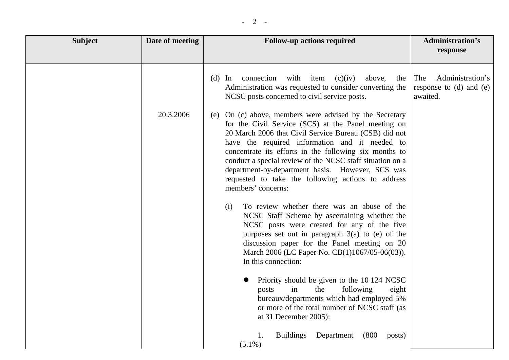| <b>Subject</b> | Date of meeting | <b>Follow-up actions required</b>                                                                                                                                                                                                                                                                                                                                                                                                                                                                                                                                                                                                                                                                                                                                                                                                                                                                                                                                                                                                                                                              | Administration's<br>response                                       |
|----------------|-----------------|------------------------------------------------------------------------------------------------------------------------------------------------------------------------------------------------------------------------------------------------------------------------------------------------------------------------------------------------------------------------------------------------------------------------------------------------------------------------------------------------------------------------------------------------------------------------------------------------------------------------------------------------------------------------------------------------------------------------------------------------------------------------------------------------------------------------------------------------------------------------------------------------------------------------------------------------------------------------------------------------------------------------------------------------------------------------------------------------|--------------------------------------------------------------------|
|                | 20.3.2006       | connection<br>with item<br>(c)(iv)<br>above,<br>$(d)$ In<br>the<br>Administration was requested to consider converting the<br>NCSC posts concerned to civil service posts.<br>(e) On (c) above, members were advised by the Secretary<br>for the Civil Service (SCS) at the Panel meeting on<br>20 March 2006 that Civil Service Bureau (CSB) did not<br>have the required information and it needed to<br>concentrate its efforts in the following six months to<br>conduct a special review of the NCSC staff situation on a<br>department-by-department basis. However, SCS was<br>requested to take the following actions to address<br>members' concerns:<br>To review whether there was an abuse of the<br>(i)<br>NCSC Staff Scheme by ascertaining whether the<br>NCSC posts were created for any of the five<br>purposes set out in paragraph $3(a)$ to (e) of the<br>discussion paper for the Panel meeting on 20<br>March 2006 (LC Paper No. CB(1)1067/05-06(03)).<br>In this connection:<br>Priority should be given to the 10 124 NCSC<br>following<br>the<br>posts<br>in<br>eight | Administration's<br>The<br>response to $(d)$ and $(e)$<br>awaited. |
|                |                 | bureaux/departments which had employed 5%<br>or more of the total number of NCSC staff (as<br>at 31 December 2005):                                                                                                                                                                                                                                                                                                                                                                                                                                                                                                                                                                                                                                                                                                                                                                                                                                                                                                                                                                            |                                                                    |
|                |                 | Buildings Department<br>(800)<br>1.<br>posts)<br>$(5.1\%)$                                                                                                                                                                                                                                                                                                                                                                                                                                                                                                                                                                                                                                                                                                                                                                                                                                                                                                                                                                                                                                     |                                                                    |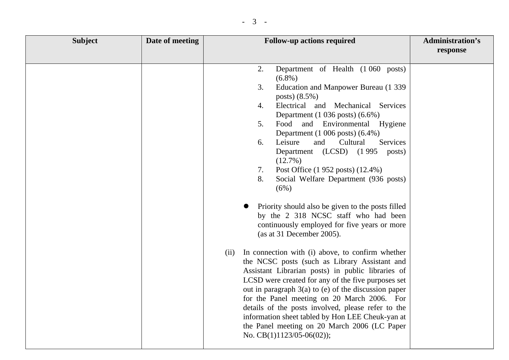| <b>Subject</b> | Date of meeting | <b>Follow-up actions required</b>                                                                                                                                                                                                                                                                                                                                                                                                                                                                                                                                                                                                                                                                | <b>Administration's</b><br>response |
|----------------|-----------------|--------------------------------------------------------------------------------------------------------------------------------------------------------------------------------------------------------------------------------------------------------------------------------------------------------------------------------------------------------------------------------------------------------------------------------------------------------------------------------------------------------------------------------------------------------------------------------------------------------------------------------------------------------------------------------------------------|-------------------------------------|
|                |                 | Department of Health (1060 posts)<br>2.<br>$(6.8\%)$<br>Education and Manpower Bureau (1 339<br>3.<br>posts) (8.5%)<br>Electrical and Mechanical<br>Services<br>4.<br>Department $(1\ 036\ \text{posts})$ $(6.6\%)$<br>Food<br>and Environmental Hygiene<br>5.<br>Department $(1\ 006\ \text{posts})\ (6.4\%)$<br>Leisure<br>and<br>Cultural<br>6.<br>Services<br>Department (LCSD) (1995 posts)<br>$(12.7\%)$<br>Post Office (1 952 posts) (12.4%)<br>7.<br>8.<br>Social Welfare Department (936 posts)<br>(6%)                                                                                                                                                                                 |                                     |
|                |                 | Priority should also be given to the posts filled<br>by the 2 318 NCSC staff who had been<br>continuously employed for five years or more<br>(as at 31 December 2005).<br>In connection with (i) above, to confirm whether<br>(ii)<br>the NCSC posts (such as Library Assistant and<br>Assistant Librarian posts) in public libraries of<br>LCSD were created for any of the five purposes set<br>out in paragraph $3(a)$ to (e) of the discussion paper<br>for the Panel meeting on 20 March 2006. For<br>details of the posts involved, please refer to the<br>information sheet tabled by Hon LEE Cheuk-yan at<br>the Panel meeting on 20 March 2006 (LC Paper<br>No. $CB(1)1123/05-06(02)$ ; |                                     |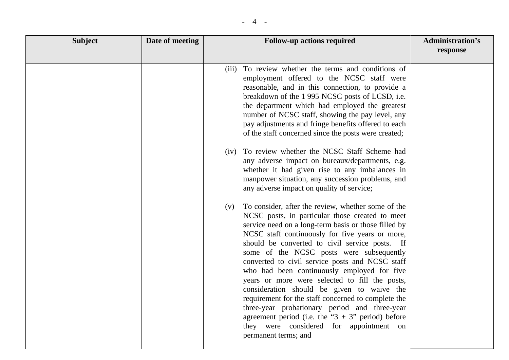| <b>Subject</b> | Date of meeting | <b>Follow-up actions required</b>                                                                                                                                                                                                                                                                                                                                                                                                                                                                                                                                                                                                                                                                                                                           | <b>Administration's</b><br>response |
|----------------|-----------------|-------------------------------------------------------------------------------------------------------------------------------------------------------------------------------------------------------------------------------------------------------------------------------------------------------------------------------------------------------------------------------------------------------------------------------------------------------------------------------------------------------------------------------------------------------------------------------------------------------------------------------------------------------------------------------------------------------------------------------------------------------------|-------------------------------------|
|                |                 |                                                                                                                                                                                                                                                                                                                                                                                                                                                                                                                                                                                                                                                                                                                                                             |                                     |
|                |                 | (iii) To review whether the terms and conditions of<br>employment offered to the NCSC staff were<br>reasonable, and in this connection, to provide a<br>breakdown of the 1995 NCSC posts of LCSD, i.e.<br>the department which had employed the greatest<br>number of NCSC staff, showing the pay level, any<br>pay adjustments and fringe benefits offered to each<br>of the staff concerned since the posts were created;                                                                                                                                                                                                                                                                                                                                 |                                     |
|                |                 | (iv) To review whether the NCSC Staff Scheme had<br>any adverse impact on bureaux/departments, e.g.<br>whether it had given rise to any imbalances in<br>manpower situation, any succession problems, and<br>any adverse impact on quality of service;                                                                                                                                                                                                                                                                                                                                                                                                                                                                                                      |                                     |
|                |                 | To consider, after the review, whether some of the<br>(v)<br>NCSC posts, in particular those created to meet<br>service need on a long-term basis or those filled by<br>NCSC staff continuously for five years or more,<br>should be converted to civil service posts. If<br>some of the NCSC posts were subsequently<br>converted to civil service posts and NCSC staff<br>who had been continuously employed for five<br>years or more were selected to fill the posts,<br>consideration should be given to waive the<br>requirement for the staff concerned to complete the<br>three-year probationary period and three-year<br>agreement period (i.e. the " $3 + 3$ " period) before<br>they were considered for appointment on<br>permanent terms; and |                                     |